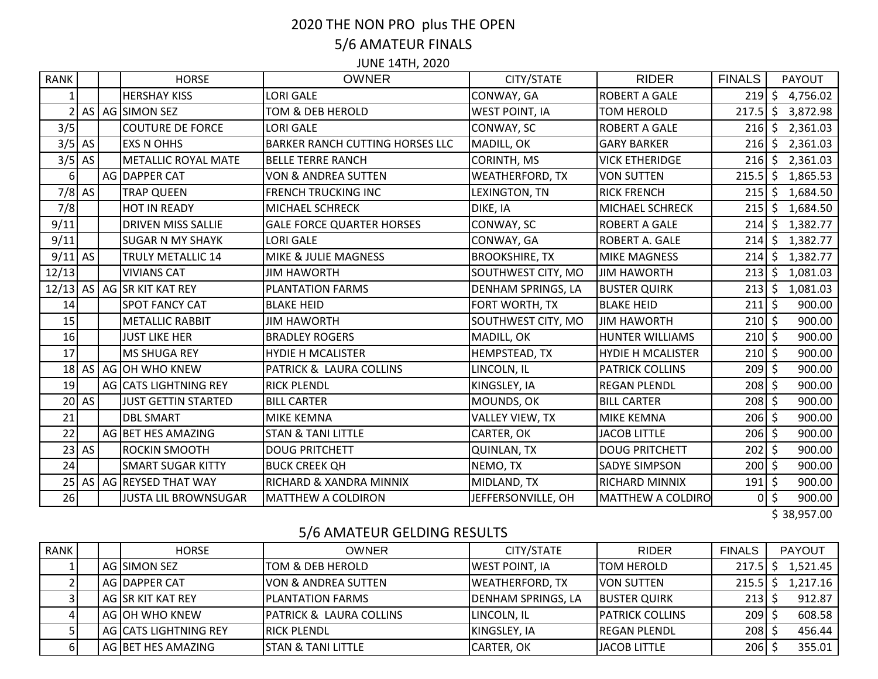## 2020 THE NON PRO plus THE OPEN 5/6 AMATEUR FINALS

JUNE 14TH, 2020

| <b>RANK</b> |          | <b>HORSE</b>                | <b>OWNER</b>                           | CITY/STATE                | <b>RIDER</b>             | <b>FINALS</b> |              | PAYOUT   |
|-------------|----------|-----------------------------|----------------------------------------|---------------------------|--------------------------|---------------|--------------|----------|
|             |          | <b>HERSHAY KISS</b>         | <b>LORI GALE</b>                       | CONWAY, GA                | <b>ROBERT A GALE</b>     | 219           | <sub>S</sub> | 4,756.02 |
|             |          | AS   AG   SIMON SEZ         | TOM & DEB HEROLD                       | <b>WEST POINT, IA</b>     | <b>TOM HEROLD</b>        | 217.5         | Ŝ.           | 3,872.98 |
| 3/5         |          | <b>COUTURE DE FORCE</b>     | <b>LORI GALE</b>                       | CONWAY, SC                | <b>ROBERT A GALE</b>     | $216$ \$      |              | 2,361.03 |
| 3/5         | AS       | <b>EXS N OHHS</b>           | <b>BARKER RANCH CUTTING HORSES LLC</b> | MADILL, OK                | <b>GARY BARKER</b>       | 216           | -\$          | 2,361.03 |
| 3/5         | AS       | <b>METALLIC ROYAL MATE</b>  | <b>BELLE TERRE RANCH</b>               | CORINTH, MS               | <b>VICK ETHERIDGE</b>    | $216 \mid 5$  |              | 2,361.03 |
| 6           |          | AG DAPPER CAT               | <b>VON &amp; ANDREA SUTTEN</b>         | <b>WEATHERFORD, TX</b>    | <b>VON SUTTEN</b>        | 215.5         | Ŝ.           | 1,865.53 |
|             | $7/8$ AS | <b>TRAP QUEEN</b>           | <b>FRENCH TRUCKING INC</b>             | <b>LEXINGTON, TN</b>      | <b>RICK FRENCH</b>       | 215           | \$           | 1,684.50 |
| 7/8         |          | HOT IN READY                | <b>MICHAEL SCHRECK</b>                 | DIKE, IA                  | MICHAEL SCHRECK          | $215$ \$      |              | 1,684.50 |
| 9/11        |          | <b>DRIVEN MISS SALLIE</b>   | <b>GALE FORCE QUARTER HORSES</b>       | CONWAY, SC                | <b>ROBERT A GALE</b>     | 214           | Ŝ.           | 1,382.77 |
| 9/11        |          | <b>SUGAR N MY SHAYK</b>     | <b>LORI GALE</b>                       | CONWAY, GA                | ROBERT A. GALE           | 214           | Ŝ.           | 1,382.77 |
| $9/11$ AS   |          | <b>TRULY METALLIC 14</b>    | <b>MIKE &amp; JULIE MAGNESS</b>        | <b>BROOKSHIRE, TX</b>     | <b>MIKE MAGNESS</b>      | 214           | \$           | 1,382.77 |
| 12/13       |          | <b>VIVIANS CAT</b>          | <b>JIM HAWORTH</b>                     | SOUTHWEST CITY, MO        | <b>JIM HAWORTH</b>       | 213           | \$           | 1,081.03 |
|             |          | 12/13 AS AG SR KIT KAT REY  | <b>PLANTATION FARMS</b>                | <b>DENHAM SPRINGS, LA</b> | <b>BUSTER QUIRK</b>      | 213           | -\$          | 1,081.03 |
| 14          |          | <b>SPOT FANCY CAT</b>       | <b>BLAKE HEID</b>                      | FORT WORTH, TX            | <b>BLAKE HEID</b>        | 211           | -\$          | 900.00   |
| 15          |          | <b>METALLIC RABBIT</b>      | <b>JIM HAWORTH</b>                     | SOUTHWEST CITY, MO        | <b>JIM HAWORTH</b>       | 210           | $\zeta$      | 900.00   |
| 16          |          | <b>JUST LIKE HER</b>        | <b>BRADLEY ROGERS</b>                  | MADILL, OK                | <b>HUNTER WILLIAMS</b>   | $210$ \$      |              | 900.00   |
| 17          |          | MS SHUGA REY                | <b>HYDIE H MCALISTER</b>               | HEMPSTEAD, TX             | <b>HYDIE H MCALISTER</b> | 210           | -\$          | 900.00   |
|             |          | 18 AS AG OH WHO KNEW        | PATRICK & LAURA COLLINS                | LINCOLN, IL               | <b>PATRICK COLLINS</b>   | 209           | -\$          | 900.00   |
| 19          |          | AG CATS LIGHTNING REY       | <b>RICK PLENDL</b>                     | KINGSLEY, IA              | <b>REGAN PLENDL</b>      | $208 \mid 5$  |              | 900.00   |
| 20          | AS       | <b>JUST GETTIN STARTED</b>  | <b>BILL CARTER</b>                     | MOUNDS, OK                | <b>BILL CARTER</b>       | 208           | \$           | 900.00   |
| 21          |          | <b>DBL SMART</b>            | <b>MIKE KEMNA</b>                      | <b>VALLEY VIEW, TX</b>    | MIKE KEMNA               | 206           | -S           | 900.00   |
| 22          |          | AG BET HES AMAZING          | <b>STAN &amp; TANI LITTLE</b>          | CARTER, OK                | <b>JACOB LITTLE</b>      | $206$ \$      |              | 900.00   |
| 23          | AS       | ROCKIN SMOOTH               | <b>DOUG PRITCHETT</b>                  | <b>QUINLAN, TX</b>        | <b>DOUG PRITCHETT</b>    | 202           | $\zeta$      | 900.00   |
| 24          |          | <b>SMART SUGAR KITTY</b>    | <b>BUCK CREEK QH</b>                   | NEMO, TX                  | <b>SADYE SIMPSON</b>     | $200$ \$      |              | 900.00   |
| 25          |          | AS   AG   REYSED THAT WAY   | RICHARD & XANDRA MINNIX                | MIDLAND, TX               | RICHARD MINNIX           | 191           | \$           | 900.00   |
| 26          |          | <b>JUSTA LIL BROWNSUGAR</b> | <b>MATTHEW A COLDIRON</b>              | JEFFERSONVILLE, OH        | MATTHEW A COLDIRO        | 01            | \$           | 900.00   |

 $$38,957.00$ 

## 5/6 AMATEUR GELDING RESULTS

| <b>RANK</b> |  | <b>HORSE</b>             | <b>OWNER</b>                       | CITY/STATE                | <b>RIDER</b>           | <b>FINALS</b> | <b>PAYOUT</b> |
|-------------|--|--------------------------|------------------------------------|---------------------------|------------------------|---------------|---------------|
|             |  | LAG ISIMON SEZ           | ITOM & DEB HEROLD                  | <b>WEST POINT, IA</b>     | ITOM HEROLD            | 217.5         | 1,521.45      |
|             |  | <b>AGIDAPPER CAT</b>     | <b>VON &amp; ANDREA SUTTEN</b>     | <b>WEATHERFORD, TX</b>    | IVON SUTTEN            | 215.5         | 1,217.16      |
|             |  | <b>AG SR KIT KAT REY</b> | <b>PLANTATION FARMS</b>            | <b>DENHAM SPRINGS, LA</b> | <b>BUSTER QUIRK</b>    | 213I          | 912.87        |
|             |  | AG OH WHO KNEW           | <b>PATRICK &amp; LAURA COLLINS</b> | LINCOLN, IL               | <b>PATRICK COLLINS</b> | 209           | 608.58        |
|             |  | AG CATS LIGHTNING REY    | <b>RICK PLENDL</b>                 | KINGSLEY, IA              | <b>IREGAN PLENDL</b>   | 208           | 456.44        |
|             |  | AG BET HES AMAZING       | <b>STAN &amp; TANI LITTLE</b>      | <b>CARTER, OK</b>         | IJACOB LITTLE          | 206           | 355.01        |